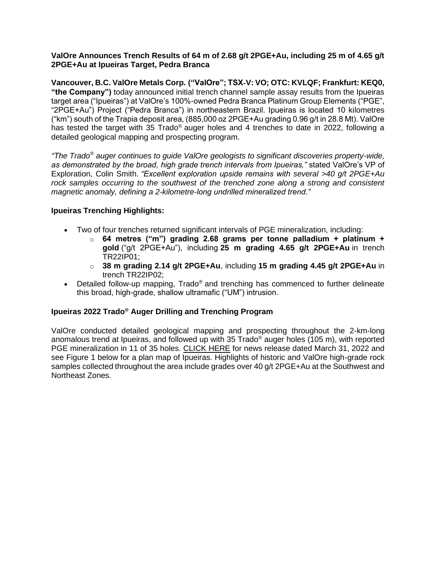## **ValOre Announces Trench Results of 64 m of 2.68 g/t 2PGE+Au, including 25 m of 4.65 g/t 2PGE+Au at Ipueiras Target, Pedra Branca**

**Vancouver, B.C. ValOre Metals Corp. ("ValOre"; TSX**‐**V: VO; OTC: KVLQF; Frankfurt: KEQ0, "the Company")** today announced initial trench channel sample assay results from the Ipueiras target area ("Ipueiras") at ValOre's 100%-owned Pedra Branca Platinum Group Elements ("PGE", "2PGE+Au") Project ("Pedra Branca") in northeastern Brazil. Ipueiras is located 10 kilometres ("km") south of the Trapia deposit area, (885,000 oz 2PGE+Au grading 0.96 g/t in 28.8 Mt). ValOre has tested the target with 35 Trado<sup>®</sup> auger holes and 4 trenches to date in 2022, following a detailed geological mapping and prospecting program.

*"The Trado® auger continues to guide ValOre geologists to significant discoveries property-wide, as demonstrated by the broad, high grade trench intervals from Ipueiras,"* stated ValOre's VP of Exploration, Colin Smith. *"Excellent exploration upside remains with several >40 g/t 2PGE+Au rock samples occurring to the southwest of the trenched zone along a strong and consistent magnetic anomaly, defining a 2-kilometre-long undrilled mineralized trend."*

# **Ipueiras Trenching Highlights:**

- Two of four trenches returned significant intervals of PGE mineralization, including:
	- o **64 metres ("m") grading 2.68 grams per tonne palladium + platinum + gold** ("g/t 2PGE+Au"), including **25 m grading 4.65 g/t 2PGE+Au** in trench TR22IP01;
	- o **38 m grading 2.14 g/t 2PGE+Au**, including **15 m grading 4.45 g/t 2PGE+Au** in trench TR22IP02;
- Detailed follow-up mapping, Trado<sup>®</sup> and trenching has commenced to further delineate this broad, high-grade, shallow ultramafic ("UM") intrusion.

# **Ipueiras 2022 Trado® Auger Drilling and Trenching Program**

ValOre conducted detailed geological mapping and prospecting throughout the 2-km-long anomalous trend at Ipueiras, and followed up with 35 Trado<sup>®</sup> auger holes (105 m), with reported PGE mineralization in 11 of 35 holes. [CLICK HERE](http://valoremetals.com/news-media/news-releases/2022/valore-trado-auger-returns-multiple-mineralized-intercepts-at-ipueiras-target-pedra-branca--8-m-grading-113-gt-2pgeau-incl-1-m-grading-548-gt-2pgeau-from-surface-and-8-m-grading-129-gt-2pgeau-from-surface-incl-1-m-grading-42) for news release dated March 31, 2022 and see Figure 1 below for a plan map of Ipueiras. Highlights of historic and ValOre high-grade rock samples collected throughout the area include grades over 40 g/t 2PGE+Au at the Southwest and Northeast Zones.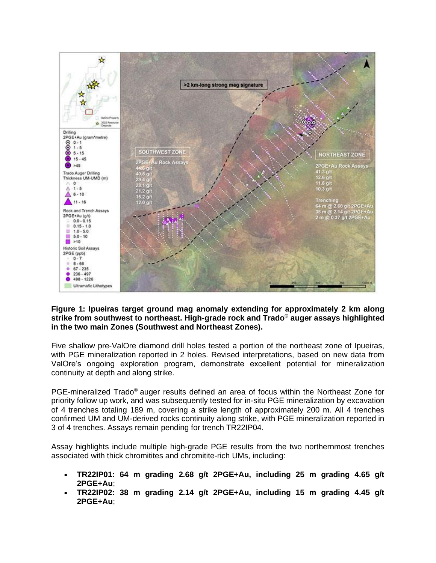

### **Figure 1: Ipueiras target ground mag anomaly extending for approximately 2 km along strike from southwest to northeast. High-grade rock and Trado® auger assays highlighted in the two main Zones (Southwest and Northeast Zones).**

Five shallow pre-ValOre diamond drill holes tested a portion of the northeast zone of Ipueiras, with PGE mineralization reported in 2 holes. Revised interpretations, based on new data from ValOre's ongoing exploration program, demonstrate excellent potential for mineralization continuity at depth and along strike.

PGE-mineralized Trado® auger results defined an area of focus within the Northeast Zone for priority follow up work, and was subsequently tested for in-situ PGE mineralization by excavation of 4 trenches totaling 189 m, covering a strike length of approximately 200 m. All 4 trenches confirmed UM and UM-derived rocks continuity along strike, with PGE mineralization reported in 3 of 4 trenches. Assays remain pending for trench TR22IP04.

Assay highlights include multiple high-grade PGE results from the two northernmost trenches associated with thick chromitites and chromitite-rich UMs, including:

- **TR22IP01: 64 m grading 2.68 g/t 2PGE+Au, including 25 m grading 4.65 g/t 2PGE+Au**;
- **TR22IP02: 38 m grading 2.14 g/t 2PGE+Au, including 15 m grading 4.45 g/t 2PGE+Au**;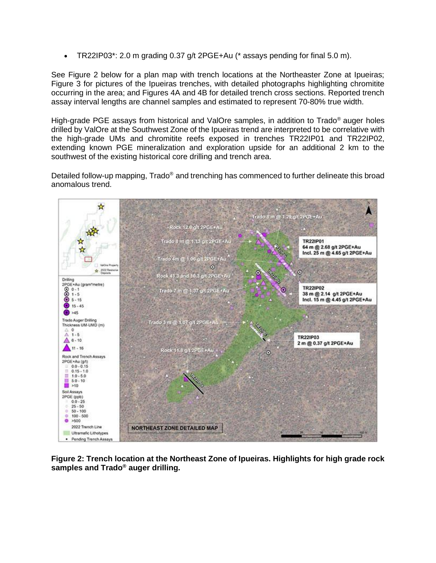• TR22IP03\*: 2.0 m grading  $0.37$  g/t 2PGE+Au (\* assays pending for final 5.0 m).

See Figure 2 below for a plan map with trench locations at the Northeaster Zone at Ipueiras; Figure 3 for pictures of the Ipueiras trenches, with detailed photographs highlighting chromitite occurring in the area; and Figures 4A and 4B for detailed trench cross sections. Reported trench assay interval lengths are channel samples and estimated to represent 70-80% true width.

High-grade PGE assays from historical and ValOre samples, in addition to Trado® auger holes drilled by ValOre at the Southwest Zone of the Ipueiras trend are interpreted to be correlative with the high-grade UMs and chromitite reefs exposed in trenches TR22IP01 and TR22IP02, extending known PGE mineralization and exploration upside for an additional 2 km to the southwest of the existing historical core drilling and trench area.

Detailed follow-up mapping, Trado<sup>®</sup> and trenching has commenced to further delineate this broad anomalous trend.



**Figure 2: Trench location at the Northeast Zone of Ipueiras. Highlights for high grade rock samples and Trado® auger drilling.**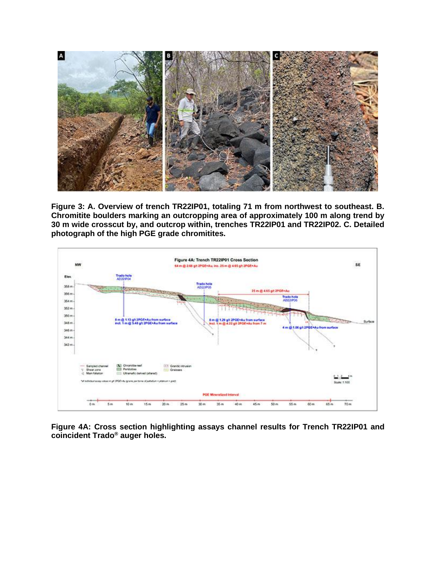

**Figure 3: A. Overview of trench TR22IP01, totaling 71 m from northwest to southeast. B. Chromitite boulders marking an outcropping area of approximately 100 m along trend by 30 m wide crosscut by, and outcrop within, trenches TR22IP01 and TR22IP02. C. Detailed photograph of the high PGE grade chromitites.**



**Figure 4A: Cross section highlighting assays channel results for Trench TR22IP01 and coincident Trado® auger holes.**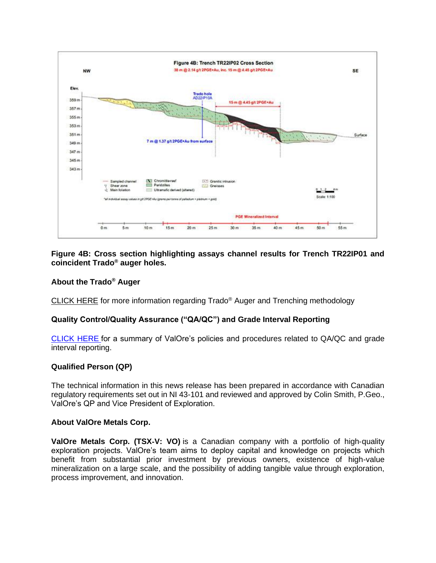

### **Figure 4B: Cross section highlighting assays channel results for Trench TR22IP01 and coincident Trado® auger holes.**

# **About the Trado® Auger**

[CLICK HERE](http://valoremetals.com/news-media/news-releases/2021/valore-establishes-new-shallow-pge-target-at-pedra-branca) for more information regarding Trado® Auger and Trenching methodology

### **Quality Control/Quality Assurance ("QA/QC") and Grade Interval Reporting**

[CLICK HERE](http://valoremetals.com/news-media/news-releases/2020/valore-announces-initial-drill-results-from-pedra-branca-including-10-gt-2pgeau-over-528-metres-from-surface) for a summary of ValOre's policies and procedures related to QA/QC and grade interval reporting.

### **Qualified Person (QP)**

The technical information in this news release has been prepared in accordance with Canadian regulatory requirements set out in NI 43-101 and reviewed and approved by Colin Smith, P.Geo., ValOre's QP and Vice President of Exploration.

### **About ValOre Metals Corp.**

**ValOre Metals Corp. (TSX**‐**V: VO)** is a Canadian company with a portfolio of high‐quality exploration projects. ValOre's team aims to deploy capital and knowledge on projects which benefit from substantial prior investment by previous owners, existence of high-value mineralization on a large scale, and the possibility of adding tangible value through exploration, process improvement, and innovation.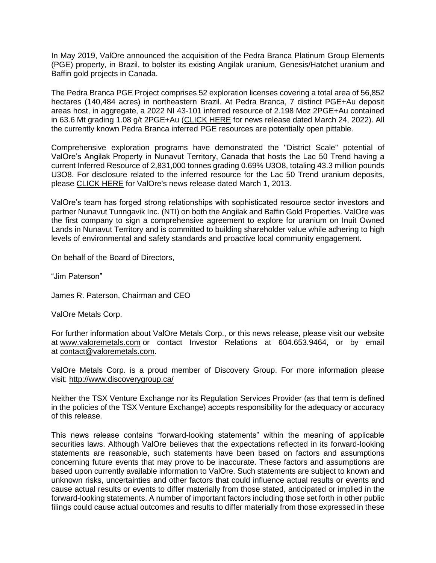In May 2019, ValOre announced the acquisition of the Pedra Branca Platinum Group Elements (PGE) property, in Brazil, to bolster its existing Angilak uranium, Genesis/Hatchet uranium and Baffin gold projects in Canada.

The Pedra Branca PGE Project comprises 52 exploration licenses covering a total area of 56,852 hectares (140,484 acres) in northeastern Brazil. At Pedra Branca, 7 distinct PGE+Au deposit areas host, in aggregate, a 2022 NI 43-101 inferred resource of 2.198 Moz 2PGE+Au contained in 63.6 Mt grading 1.08 g/t 2PGE+Au [\(CLICK HERE](http://valoremetals.com/news-media/news-releases/2022/valore-expands-pedra-branca-inferred-mineral-resource-by-106-to-22-million-ounces-at-108-gt-2pgeau) for news release dated March 24, 2022). All the currently known Pedra Branca inferred PGE resources are potentially open pittable.

Comprehensive exploration programs have demonstrated the "District Scale" potential of ValOre's Angilak Property in Nunavut Territory, Canada that hosts the Lac 50 Trend having a current Inferred Resource of 2,831,000 tonnes grading 0.69% U3O8, totaling 43.3 million pounds U3O8. For disclosure related to the inferred resource for the Lac 50 Trend uranium deposits, please [CLICK HERE](http://valoremetals.com/news-media/news-releases/archive/index.php?content_id=144) for ValOre's news release dated March 1, 2013.

ValOre's team has forged strong relationships with sophisticated resource sector investors and partner Nunavut Tunngavik Inc. (NTI) on both the Angilak and Baffin Gold Properties. ValOre was the first company to sign a comprehensive agreement to explore for uranium on Inuit Owned Lands in Nunavut Territory and is committed to building shareholder value while adhering to high levels of environmental and safety standards and proactive local community engagement.

On behalf of the Board of Directors,

"Jim Paterson"

James R. Paterson, Chairman and CEO

ValOre Metals Corp.

For further information about ValOre Metals Corp., or this news release, please visit our website at [www.valoremetals.com](http://www.valoremetals.com/) or contact Investor Relations at 604.653.9464, or by email at [contact@valoremetals.com.](mailto:contact@valoremetals.com)

ValOre Metals Corp. is a proud member of Discovery Group. For more information please visit: <http://www.discoverygroup.ca/>

Neither the TSX Venture Exchange nor its Regulation Services Provider (as that term is defined in the policies of the TSX Venture Exchange) accepts responsibility for the adequacy or accuracy of this release.

This news release contains "forward-looking statements" within the meaning of applicable securities laws. Although ValOre believes that the expectations reflected in its forward-looking statements are reasonable, such statements have been based on factors and assumptions concerning future events that may prove to be inaccurate. These factors and assumptions are based upon currently available information to ValOre. Such statements are subject to known and unknown risks, uncertainties and other factors that could influence actual results or events and cause actual results or events to differ materially from those stated, anticipated or implied in the forward-looking statements. A number of important factors including those set forth in other public filings could cause actual outcomes and results to differ materially from those expressed in these